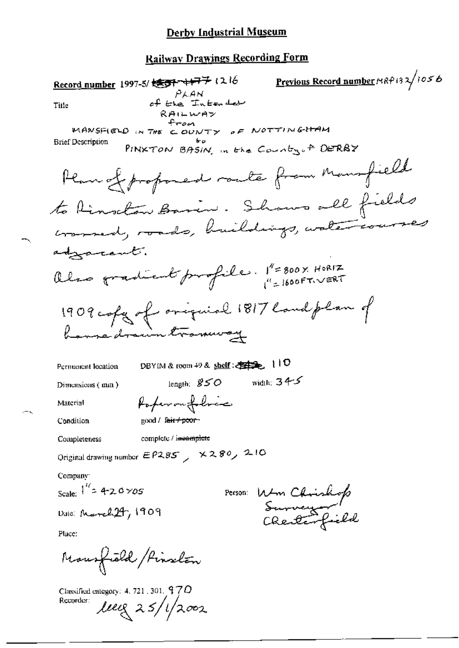## **Railway Drawings Recording Form**

Previous Record number MRP 132/1056 Record number 1997-5/<del>模仿 ++7</del>7 (2)6 PLAN of the Intended Title RAILWAY fron WANSFIELD IN THE COUNTY OF NOTTINGHAM **Brief Description** PINXTON BASIN, in the County & DERBY Plan of proposed route from Mansfield to Kinselon Basin. Shows all fields adjancent. also gradient profile. 1"=300x HORIZ 1909 copy of original 1817 Condplan of me drawn tramway DBYIM & room 49 & shelf :  $\frac{100}{256}$  1 1 0 Permanent location length:  $850$  width:  $345$ Dimensions (mm) Poperoufobres Material good / fair+poor-Condition Completeness complete / incomplete Original drawing number  $E$   $P295$   $\rightarrow$   $\times$  2.80  $\rightarrow$  2.10 Company: Scale:  $1^{17}$  = 4-2.0  $\times$ 05 Person: Wm Chrishop<br>Survey<br>Chertenfield Date: March 24, 1909 Place: Monsfield / Pinseton

Classified category: 4, 721, 301,  $970$ Recorder:  $l$ eeg 25/1/2002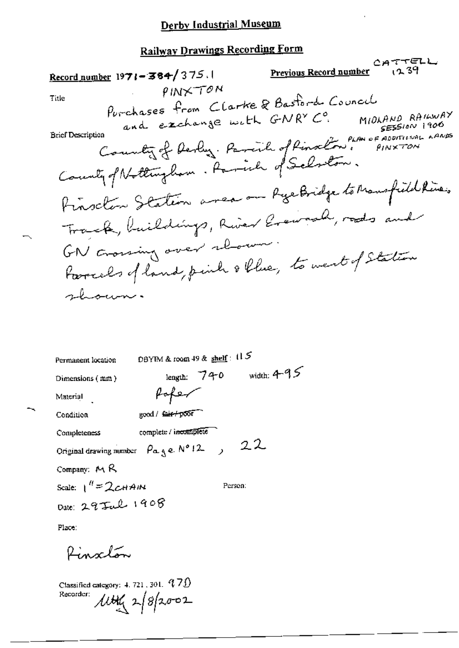# **Railway Drawings Recording Form**

|                                                   | CATTELL                                                                              |
|---------------------------------------------------|--------------------------------------------------------------------------------------|
| Record number 1971 - 384/375.1                    | Preyious Record number (239)                                                         |
| PINXTON<br>Title:                                 |                                                                                      |
|                                                   |                                                                                      |
|                                                   | Purchases from Clarke & Bastord Council<br>and exchange with GNRY C. MIDLAND RAILWAY |
| <b>Brief Description</b>                          |                                                                                      |
|                                                   |                                                                                      |
|                                                   | County of Derby. Parcil of Pinoton: PLAN OF ADDITIONAL AANAS                         |
|                                                   |                                                                                      |
|                                                   | Finschen Station avec on RyeBridge to Mansfield Rive.                                |
| Track, buildings, River Evenand, rads and         |                                                                                      |
| GN crossing over rhown.                           |                                                                                      |
| torreals of land, pinh of lue, to west of Station |                                                                                      |
| shown.                                            |                                                                                      |

| Permanent location                                          | DBYIM & room 49 & $\frac{\text{shell}}{\text{shell}}$ : 11 5 |               |               |
|-------------------------------------------------------------|--------------------------------------------------------------|---------------|---------------|
| Dimensions (mm)                                             |                                                              | length: $740$ | width: $4-95$ |
| Material                                                    | fofer                                                        |               |               |
| Condition                                                   | good / fair+poor                                             |               |               |
| Completeness                                                | complete / incomplete                                        |               |               |
| Original drawing number $\rho_{\alpha, q, e, N^{\circ}(2)}$ |                                                              |               | 22            |
| Company: MR                                                 |                                                              |               |               |
| Scale: $1'' = 2cHAM$                                        |                                                              | Person:       |               |
| Date: 29 Jul 1908                                           |                                                              |               |               |

Place:

Pinxton

Classified category: 4.721, 301. 970<br>Recorder:  $\mu_{\mathcal{U}} \sim 8/2.002$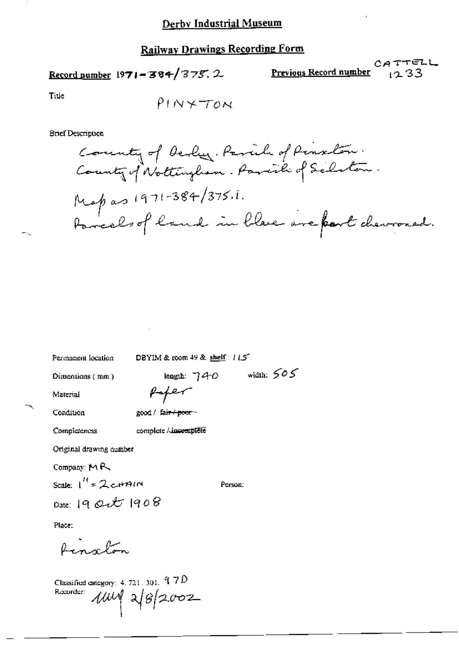### **Railway Drawings Recording Form**

### Record number 1971-384/375.2

Previous Record number

CATTELL  $12.33$ 

Title

 $PINX = TON$ 

**Brief Description** 

County of Derby. Parish of Pinxlon.<br>County of Nottingham. Parish of Selector. Mapas 1971-384/375.1. Parcels of land in bleve are part chewround.

| Permanent location      | DBYIM & foom +9 & shell : $115$  |              |
|-------------------------|----------------------------------|--------------|
| Dimensions (mm)         | length: ヿ40                      | width: $505$ |
| Material                | paper                            |              |
| Condition               | good / fa <del>ir / poor</del> - |              |
| Completeness            | complete / incemplete            |              |
| Original drawing number |                                  |              |
| Company: $M R$          |                                  |              |
| Scale: $1'' = 2c$ HAIN  |                                  | Person:      |
| Date: $1900$            |                                  |              |
| Place:                  |                                  |              |
|                         |                                  |              |

Classified category: 4, 721, 301,  $97D$ Recorder:  $1004$  2/8/2002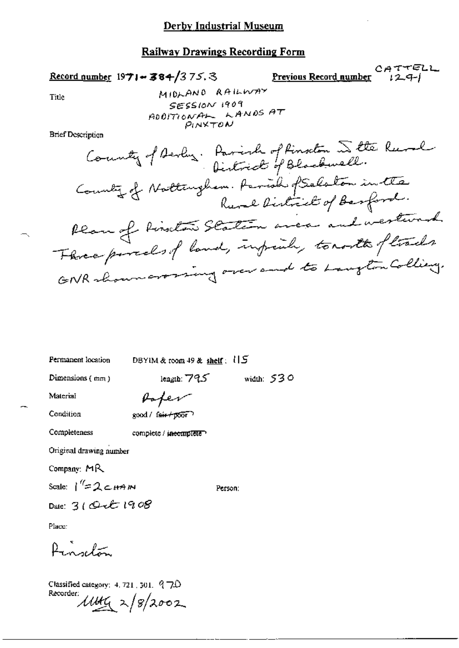#### **Railway Drawings Recording Form**

Record number  $1971 - 384/375.3$ 

CATTELL Previous Record number  $12.9 - 1$ 

Title

MIDLAND RAILWAY SESSION 1909 ADDITIONAL LANDS AT  $PINXTON$ 

**Brief Description** 

County of Aerly. Parish of Kinschen and the Russel County of Northugham. Parish of Salston in the Rund District of Barford. Reau of Rinseton Station avec and westward Three pirals of land, infail, tonorth fliads GNR shown everyoning over and to Langton Colling.

Permanent location

DBYIM & room 49 & shelf:  $15$ 

Dimensions (mm)

length:  $795$ width: 530

Material

Condition

Completeness

 $good /$   $left / p\overline{00}$ 

complete / jaeomplete

Arfer

Original drawing number

Company: MR

Scale:  $1''=2$   $\epsilon$   $\mu$ A  $\mu$ 

Person:

Date:  $310461908$ 

Place:

 $A_{\rm max}$ 

Classified category: 4, 721, 301,  $9 - 20$ Recorder. litty 2/8/2002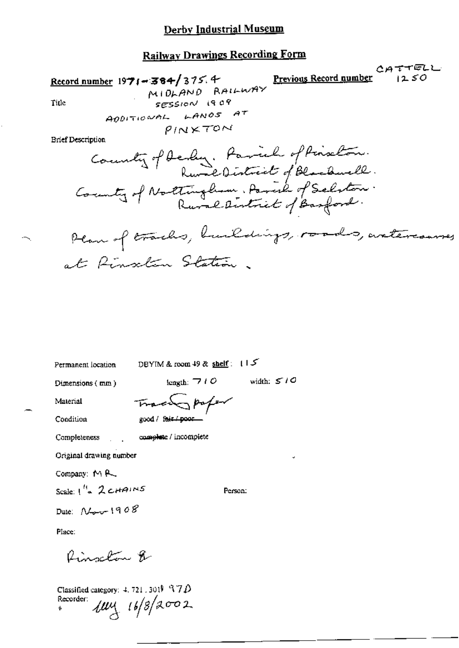#### Railway Drawings Recording Form

CATTELL Previous Record number Record number  $1971 - 384/375.4$  $1250$ MIDLAND RAILWAY SESSION 1909 Title LANOS AT AODITIONAL  $P/N\times TON$ **Brief Description** County of Dedy. Parish of Priston.<br>County of Nottingham. Parish of Selston. Plan of tracks, buildings, roads, artercourses at Pinsclin Station.

Permanent location

DBYIM & room 49 & shelf:  $115$ 

Dimensions (mm)

width:  $5/0$ length:  $\overline{\phantom{a}}$  /  $\overline{O}$ 

Material

Condition

opater Tracs good / fair / poor

complete / incomplete Completeness

Original drawing number

Company: MR

Scale:  $1^{\frac{H_u}{2}}$  2 cHAINS

Person:

Date:  $N_{\text{grav}}$ 1908

Place:

Ringclan &

Classified category:  $4, 721, 3019$   $970$  $104/16/8002$ Recorder: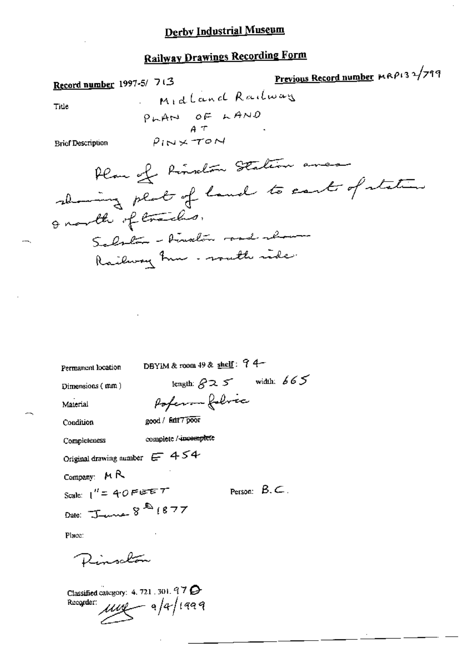**Railway Drawings Recording Form** Previous Record number MRP132/799 Record number 1997-5/ 7(3 Midland Railway Title  $P<sub>h</sub>AP<sub>A T</sub>APAD$ <br> $P<sub>i</sub>NR+TOM$ **Brief Description** Plan of Pinkin Station avec alming plat of land to cart of station onarth of tracks. Scholar - Analin road chan Railway hun - routh ride. DBYIM & room 49 & shelf: 94-Permanent location length:  $825$  width:  $665$ Dimensions (mm) Poferon folice Material good / fait7 poor Condition complete / incomplete Completeness Original drawing number  $E = 454$ Company: MR Person:  $\beta$ ,  $\subset$ . Scale:  $1'' = 40$  FEET Date:  $I_{\text{under}} 8^{2} (877)$ 

Place:

-5

Dinsclan

Classified category: 4, 721, 301, 97  $\mu$ Recorder: